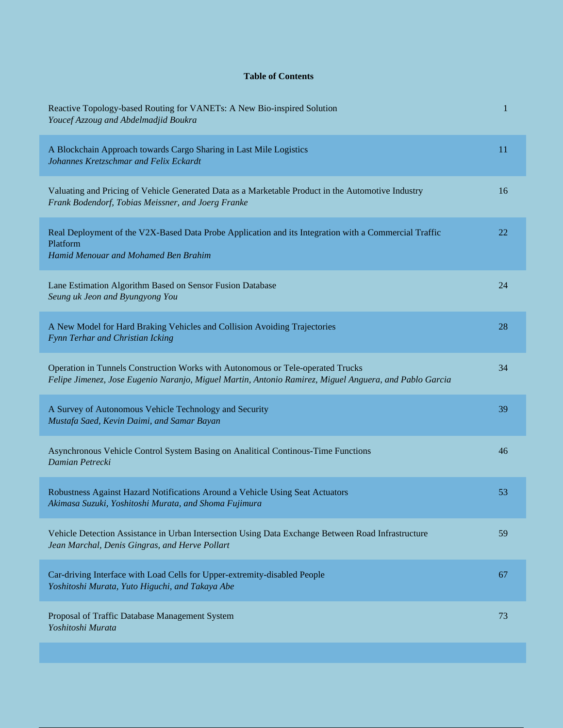## **Table of Contents**

| Reactive Topology-based Routing for VANETs: A New Bio-inspired Solution<br>Youcef Azzoug and Abdelmadjid Boukra                                                                           | 1  |
|-------------------------------------------------------------------------------------------------------------------------------------------------------------------------------------------|----|
| A Blockchain Approach towards Cargo Sharing in Last Mile Logistics<br>Johannes Kretzschmar and Felix Eckardt                                                                              | 11 |
| Valuating and Pricing of Vehicle Generated Data as a Marketable Product in the Automotive Industry<br>Frank Bodendorf, Tobias Meissner, and Joerg Franke                                  | 16 |
| Real Deployment of the V2X-Based Data Probe Application and its Integration with a Commercial Traffic<br>Platform<br>Hamid Menouar and Mohamed Ben Brahim                                 | 22 |
| Lane Estimation Algorithm Based on Sensor Fusion Database<br>Seung uk Jeon and Byungyong You                                                                                              | 24 |
| A New Model for Hard Braking Vehicles and Collision Avoiding Trajectories<br>Fynn Terhar and Christian Icking                                                                             | 28 |
| Operation in Tunnels Construction Works with Autonomous or Tele-operated Trucks<br>Felipe Jimenez, Jose Eugenio Naranjo, Miguel Martin, Antonio Ramirez, Miguel Anguera, and Pablo Garcia | 34 |
| A Survey of Autonomous Vehicle Technology and Security<br>Mustafa Saed, Kevin Daimi, and Samar Bayan                                                                                      | 39 |
| Asynchronous Vehicle Control System Basing on Analitical Continous-Time Functions<br>Damian Petrecki                                                                                      | 46 |
| Robustness Against Hazard Notifications Around a Vehicle Using Seat Actuators<br>Akimasa Suzuki, Yoshitoshi Murata, and Shoma Fujimura                                                    | 53 |
| Vehicle Detection Assistance in Urban Intersection Using Data Exchange Between Road Infrastructure<br>Jean Marchal, Denis Gingras, and Herve Pollart                                      | 59 |
| Car-driving Interface with Load Cells for Upper-extremity-disabled People<br>Yoshitoshi Murata, Yuto Higuchi, and Takaya Abe                                                              | 67 |
| Proposal of Traffic Database Management System<br>Yoshitoshi Murata                                                                                                                       | 73 |